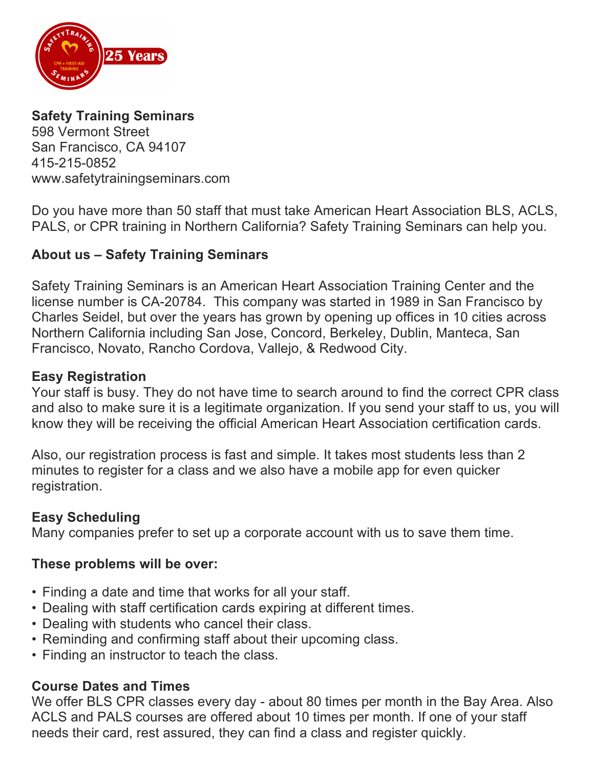

## **Safety Training Seminars**

598 Vermont Street San Francisco, CA 94107 415-215-0852 www.safetytrainingseminars.com

Do you have more than 50 staff that must take American Heart Association BLS, ACLS, PALS, or CPR training in Northern California? Safety Training Seminars can help you.

## **About us – Safety Training Seminars**

Safety Training Seminars is an American Heart Association Training Center and the license number is CA-20784. This company was started in 1989 in San Francisco by Charles Seidel, but over the years has grown by opening up offices in 10 cities across Northern California including San Jose, Concord, Berkeley, Dublin, Manteca, San Francisco, Novato, Rancho Cordova, Vallejo, & Redwood City.

### **Easy Registration**

Your staff is busy. They do not have time to search around to find the correct CPR class and also to make sure it is a legitimate organization. If you send your staff to us, you will know they will be receiving the official American Heart Association certification cards.

Also, our registration process is fast and simple. It takes most students less than 2 minutes to register for a class and we also have a mobile app for even quicker registration.

### **Easy Scheduling**

Many companies prefer to set up a corporate account with us to save them time.

### **These problems will be over:**

- Finding a date and time that works for all your staff.
- Dealing with staff certification cards expiring at different times.
- Dealing with students who cancel their class.
- Reminding and confirming staff about their upcoming class.
- Finding an instructor to teach the class.

### **Course Dates and Times**

We offer BLS CPR classes every day - about 80 times per month in the Bay Area. Also ACLS and PALS courses are offered about 10 times per month. If one of your staff needs their card, rest assured, they can find a class and register quickly.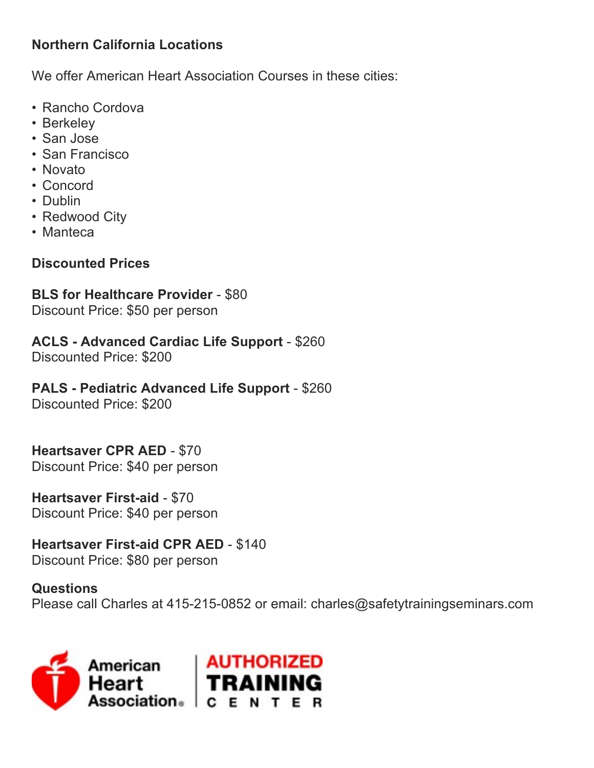# **Northern California Locations**

We offer American Heart Association Courses in these cities:

- Rancho Cordova
- Berkeley
- San Jose
- San Francisco
- Novato
- Concord
- Dublin
- Redwood City
- Manteca

# **Discounted Prices**

# **BLS for Healthcare Provider** - \$80

Discount Price: \$50 per person

# **ACLS - Advanced Cardiac Life Support** - \$260

Discounted Price: \$200

# **PALS - Pediatric Advanced Life Support** - \$260

Discounted Price: \$200

## **Heartsaver CPR AED** - \$70

Discount Price: \$40 per person

### **Heartsaver First-aid** - \$70 Discount Price: \$40 per person

# **Heartsaver First-aid CPR AED** - \$140

Discount Price: \$80 per person

### **Questions**

Please call Charles at 415-215-0852 or email: charles@safetytrainingseminars.com